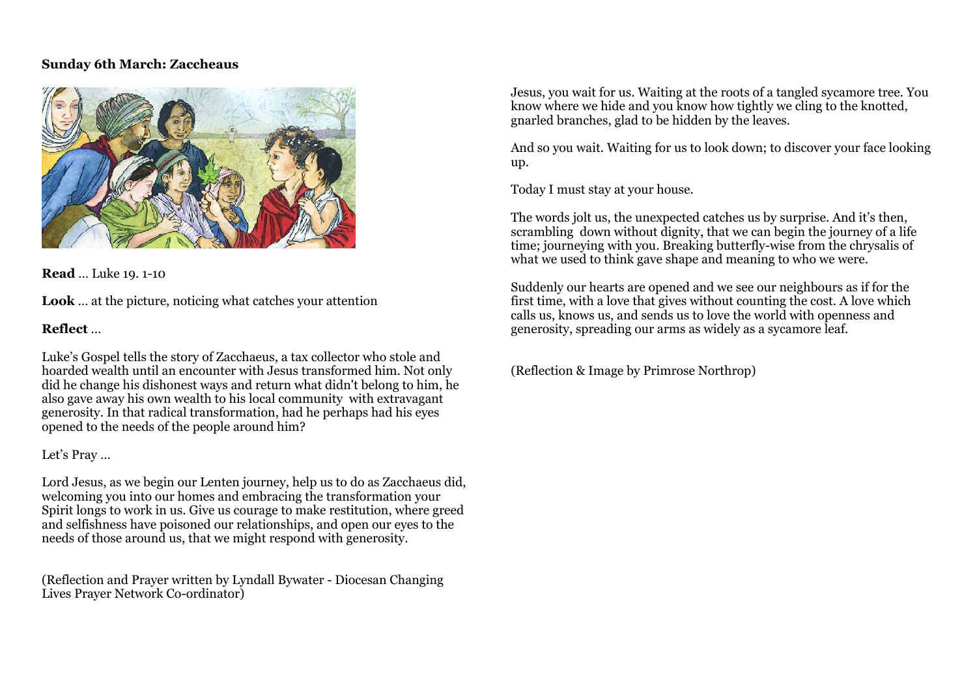#### **Sunday 6th March: Zaccheaus**



**Read** … Luke 19. 1-10

**Look** … at the picture, noticing what catches your attention

# **Reflect** …

Luke's Gospel tells the story of Zacchaeus, a tax collector who stole and hoarded wealth until an encounter with Jesus transformed him. Not only did he change his dishonest ways and return what didn't belong to him, he also gave away his own wealth to his local community with extravagant generosity. In that radical transformation, had he perhaps had his eyes opened to the needs of the people around him?

# Let's Pray …

Lord Jesus, as we begin our Lenten journey, help us to do as Zacchaeus did, welcoming you into our homes and embracing the transformation your Spirit longs to work in us. Give us courage to make restitution, where greed and selfishness have poisoned our relationships, and open our eyes to the needs of those around us, that we might respond with generosity.

(Reflection and Prayer written by Lyndall Bywater - Diocesan Changing Lives Prayer Network Co-ordinator)

Jesus, you wait for us. Waiting at the roots of a tangled sycamore tree. You know where we hide and you know how tightly we cling to the knotted, gnarled branches, glad to be hidden by the leaves.

And so you wait. Waiting for us to look down; to discover your face looking up.

Today I must stay at your house.

The words jolt us, the unexpected catches us by surprise. And it's then, scrambling down without dignity, that we can begin the journey of a life time; journeying with you. Breaking butterfly-wise from the chrysalis of what we used to think gave shape and meaning to who we were.

Suddenly our hearts are opened and we see our neighbours as if for the first time, with a love that gives without counting the cost. A love which calls us, knows us, and sends us to love the world with openness and generosity, spreading our arms as widely as a sycamore leaf.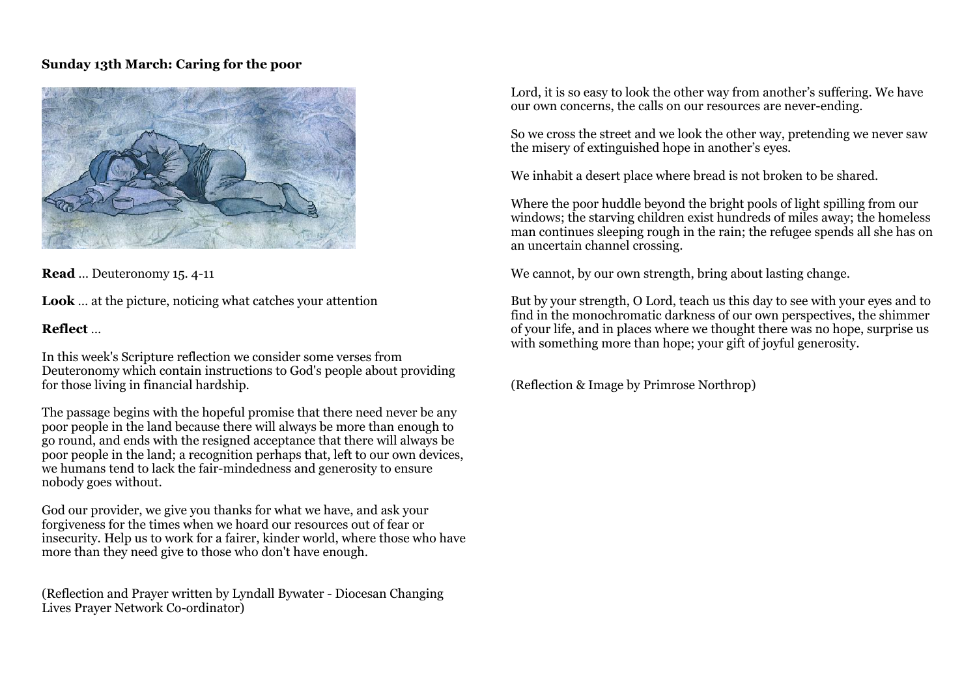### **Sunday 13th March: Caring for the poor**



**Read** … Deuteronomy 15. 4-11

**Look** … at the picture, noticing what catches your attention

# **Reflect** …

In this week's Scripture reflection we consider some verses from Deuteronomy which contain instructions to God's people about providing for those living in financial hardship.

The passage begins with the hopeful promise that there need never be any poor people in the land because there will always be more than enough to go round, and ends with the resigned acceptance that there will always be poor people in the land; a recognition perhaps that, left to our own devices, we humans tend to lack the fair-mindedness and generosity to ensure nobody goes without.

God our provider, we give you thanks for what we have, and ask your forgiveness for the times when we hoard our resources out of fear or insecurity. Help us to work for a fairer, kinder world, where those who have more than they need give to those who don't have enough.

(Reflection and Prayer written by Lyndall Bywater - Diocesan Changing Lives Prayer Network Co-ordinator)

Lord, it is so easy to look the other way from another's suffering. We have our own concerns, the calls on our resources are never-ending.

So we cross the street and we look the other way, pretending we never saw the misery of extinguished hope in another's eyes.

We inhabit a desert place where bread is not broken to be shared.

Where the poor huddle beyond the bright pools of light spilling from our windows; the starving children exist hundreds of miles away; the homeless man continues sleeping rough in the rain; the refugee spends all she has on an uncertain channel crossing.

We cannot, by our own strength, bring about lasting change.

But by your strength, O Lord, teach us this day to see with your eyes and to find in the monochromatic darkness of our own perspectives, the shimmer of your life, and in places where we thought there was no hope, surprise us with something more than hope; your gift of joyful generosity.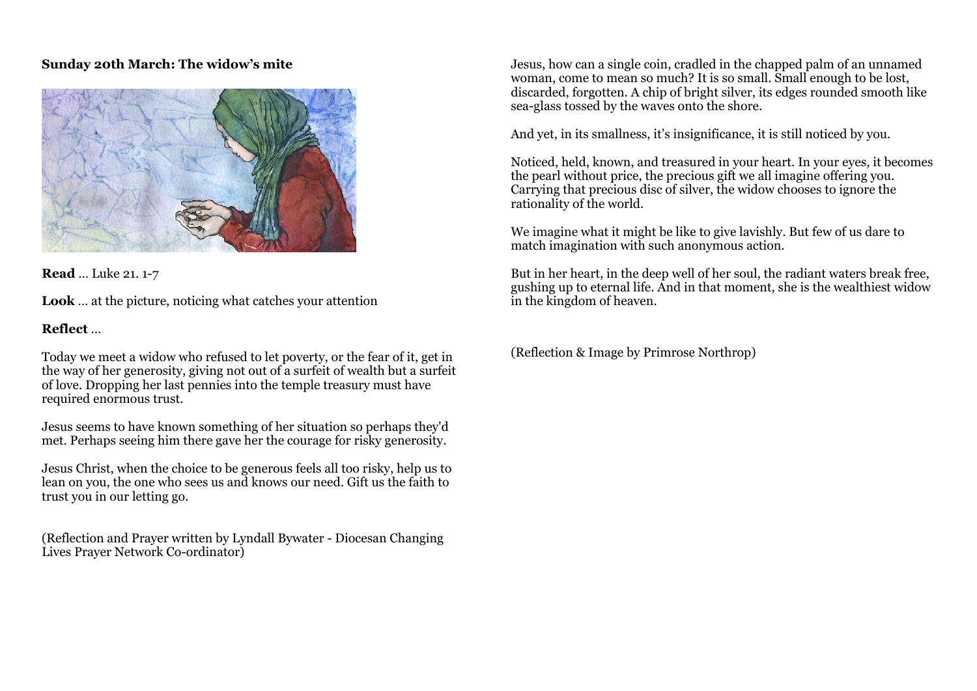# **Sunday 20th March: The widow's mite**



**Read** … Luke 21. 1-7

**Look** … at the picture, noticing what catches your attention

# **Reflect** …

Today we meet a widow who refused to let poverty, or the fear of it, get in the way of her generosity, giving not out of a surfeit of wealth but a surfeit of love. Dropping her last pennies into the temple treasury must have required enormous trust.

Jesus seems to have known something of her situation so perhaps they'd met. Perhaps seeing him there gave her the courage for risky generosity.

Jesus Christ, when the choice to be generous feels all too risky, help us to lean on you, the one who sees us and knows our need. Gift us the faith to trust you in our letting go.

(Reflection and Prayer written by Lyndall Bywater - Diocesan Changing Lives Prayer Network Co-ordinator)

Jesus, how can a single coin, cradled in the chapped palm of an unnamed woman, come to mean so much? It is so small. Small enough to be lost, discarded, forgotten. A chip of bright silver, its edges rounded smooth like sea-glass tossed by the waves onto the shore.

And yet, in its smallness, it's insignificance, it is still noticed by you.

Noticed, held, known, and treasured in your heart. In your eyes, it becomes the pearl without price, the precious gift we all imagine offering you. Carrying that precious disc of silver, the widow chooses to ignore the rationality of the world.

We imagine what it might be like to give lavishly. But few of us dare to match imagination with such anonymous action.

But in her heart, in the deep well of her soul, the radiant waters break free, gushing up to eternal life. And in that moment, she is the wealthiest widow in the kingdom of heaven.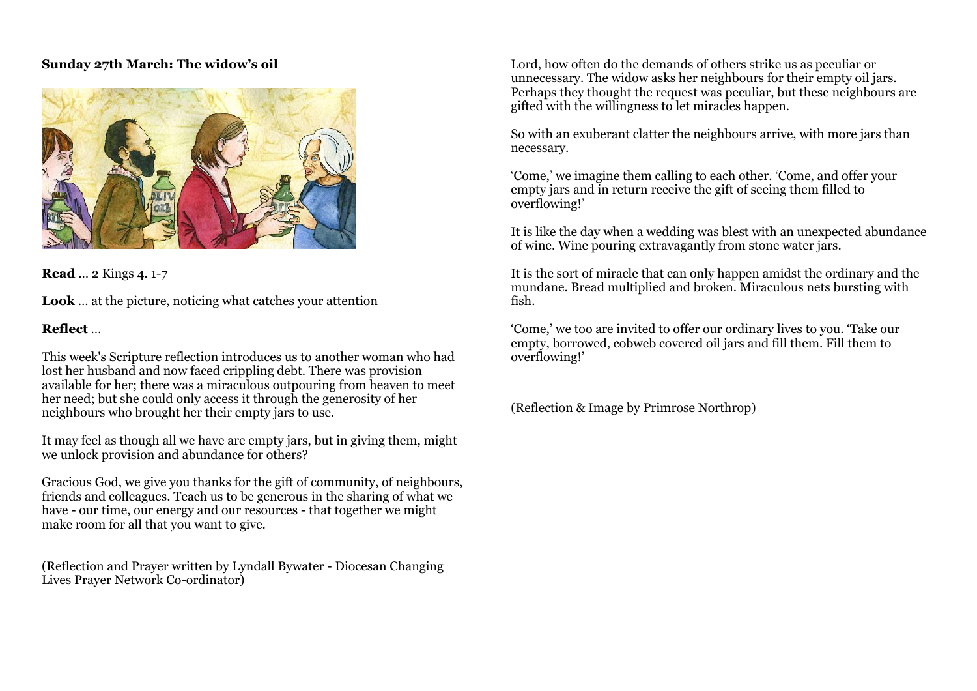### **Sunday 27th March: The widow's oil**



**Read** … 2 Kings 4. 1-7

**Look** … at the picture, noticing what catches your attention

# **Reflect** …

This week's Scripture reflection introduces us to another woman who had lost her husband and now faced crippling debt. There was provision available for her; there was a miraculous outpouring from heaven to meet her need; but she could only access it through the generosity of her neighbours who brought her their empty jars to use.

It may feel as though all we have are empty jars, but in giving them, might we unlock provision and abundance for others?

Gracious God, we give you thanks for the gift of community, of neighbours, friends and colleagues. Teach us to be generous in the sharing of what we have - our time, our energy and our resources - that together we might make room for all that you want to give.

(Reflection and Prayer written by Lyndall Bywater - Diocesan Changing Lives Prayer Network Co-ordinator)

Lord, how often do the demands of others strike us as peculiar or unnecessary. The widow asks her neighbours for their empty oil jars. Perhaps they thought the request was peculiar, but these neighbours are gifted with the willingness to let miracles happen.

So with an exuberant clatter the neighbours arrive, with more jars than necessary.

'Come,' we imagine them calling to each other. 'Come, and offer your empty jars and in return receive the gift of seeing them filled to overflowing!'

It is like the day when a wedding was blest with an unexpected abundance of wine. Wine pouring extravagantly from stone water jars.

It is the sort of miracle that can only happen amidst the ordinary and the mundane. Bread multiplied and broken. Miraculous nets bursting with fish.

'Come,' we too are invited to offer our ordinary lives to you. 'Take our empty, borrowed, cobweb covered oil jars and fill them. Fill them to overflowing!'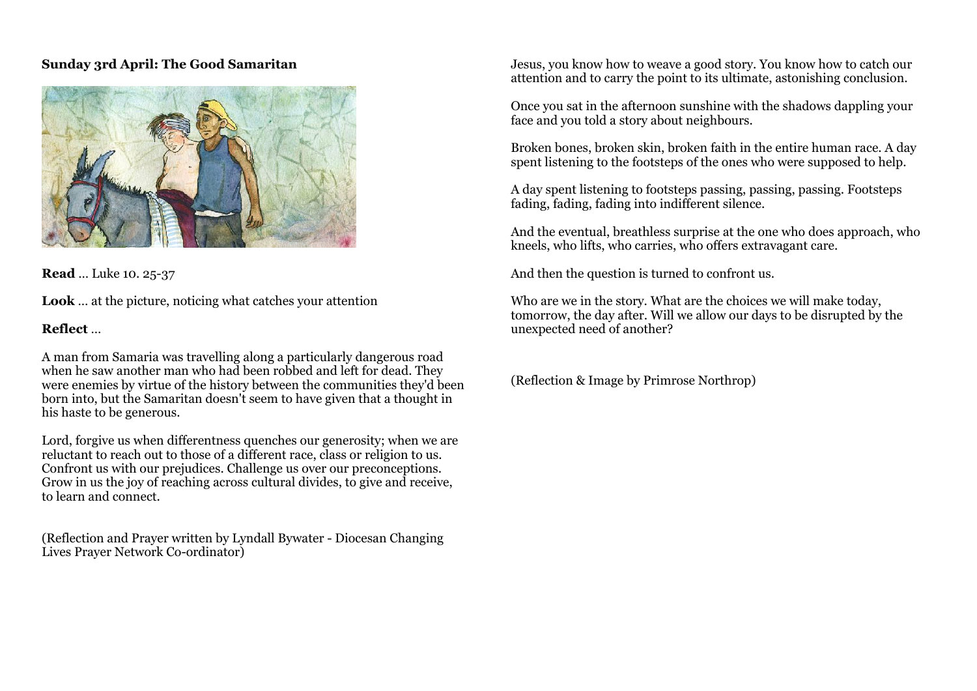# **Sunday 3rd April: The Good Samaritan**

![](_page_4_Picture_1.jpeg)

**Read** … Luke 10. 25-37

**Look** … at the picture, noticing what catches your attention

# **Reflect** …

A man from Samaria was travelling along a particularly dangerous road when he saw another man who had been robbed and left for dead. They were enemies by virtue of the history between the communities they'd been born into, but the Samaritan doesn't seem to have given that a thought in his haste to be generous.

Lord, forgive us when differentness quenches our generosity; when we are reluctant to reach out to those of a different race, class or religion to us. Confront us with our prejudices. Challenge us over our preconceptions. Grow in us the joy of reaching across cultural divides, to give and receive, to learn and connect.

(Reflection and Prayer written by Lyndall Bywater - Diocesan Changing Lives Prayer Network Co-ordinator)

Jesus, you know how to weave a good story. You know how to catch our attention and to carry the point to its ultimate, astonishing conclusion.

Once you sat in the afternoon sunshine with the shadows dappling your face and you told a story about neighbours.

Broken bones, broken skin, broken faith in the entire human race. A day spent listening to the footsteps of the ones who were supposed to help.

A day spent listening to footsteps passing, passing, passing. Footsteps fading, fading, fading into indifferent silence.

And the eventual, breathless surprise at the one who does approach, who kneels, who lifts, who carries, who offers extravagant care.

And then the question is turned to confront us.

Who are we in the story. What are the choices we will make today, tomorrow, the day after. Will we allow our days to be disrupted by the unexpected need of another?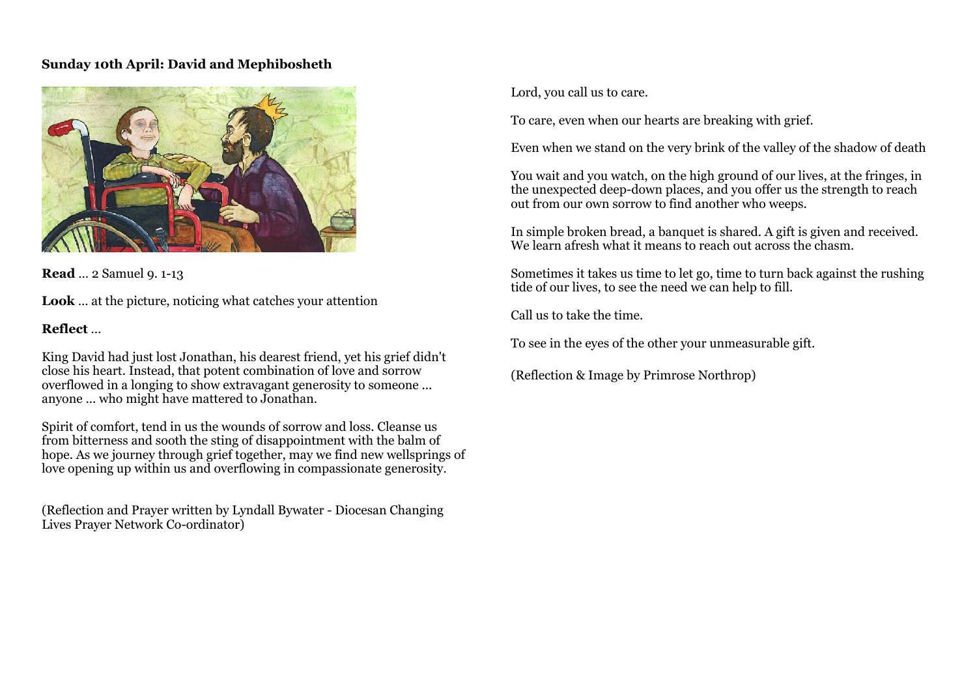# **Sunday 10th April: David and Mephibosheth**

![](_page_5_Picture_1.jpeg)

**Read** … 2 Samuel 9. 1-13

**Look** … at the picture, noticing what catches your attention

# **Reflect** …

King David had just lost Jonathan, his dearest friend, yet his grief didn't close his heart. Instead, that potent combination of love and sorrow overflowed in a longing to show extravagant generosity to someone ... anyone ... who might have mattered to Jonathan.

Spirit of comfort, tend in us the wounds of sorrow and loss. Cleanse us from bitterness and sooth the sting of disappointment with the balm of hope. As we journey through grief together, may we find new wellsprings of love opening up within us and overflowing in compassionate generosity.

(Reflection and Prayer written by Lyndall Bywater - Diocesan Changing Lives Prayer Network Co-ordinator)

Lord, you call us to care.

To care, even when our hearts are breaking with grief.

Even when we stand on the very brink of the valley of the shadow of death

You wait and you watch, on the high ground of our lives, at the fringes, in the unexpected deep-down places, and you offer us the strength to reach out from our own sorrow to find another who weeps.

In simple broken bread, a banquet is shared. A gift is given and received. We learn afresh what it means to reach out across the chasm.

Sometimes it takes us time to let go, time to turn back against the rushing tide of our lives, to see the need we can help to fill.

Call us to take the time.

To see in the eyes of the other your unmeasurable gift.